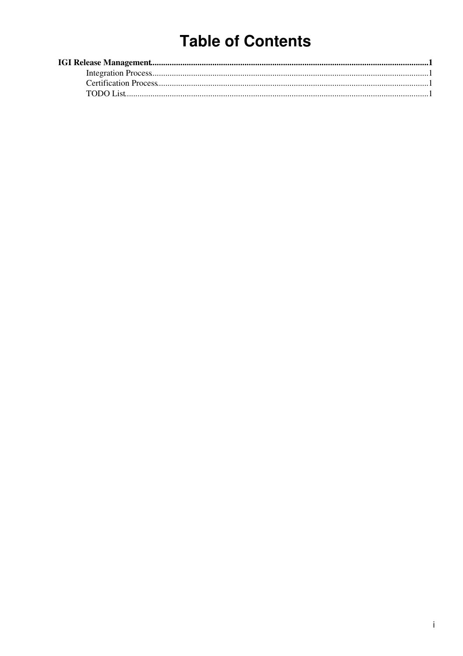# **Table of Contents**